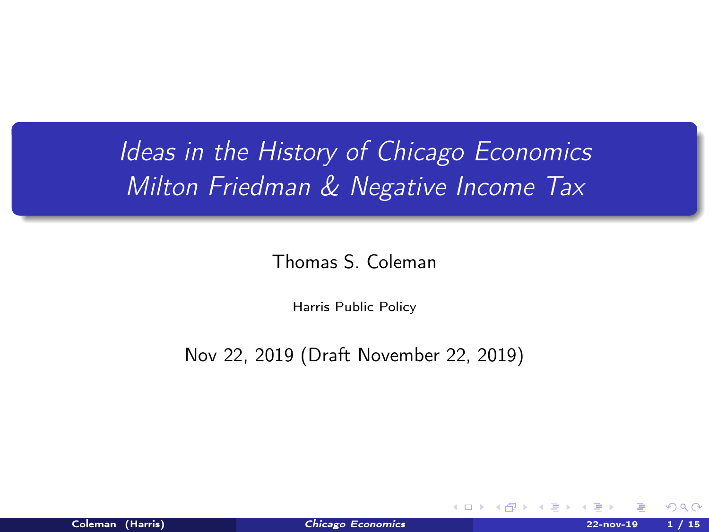# <span id="page-0-0"></span>Ideas in the History of Chicago Economics Milton Friedman & Negative Income Tax

Thomas S. Coleman

Harris Public Policy

Nov 22, 2019 (Draft November 22, 2019)

**KD > KFP >**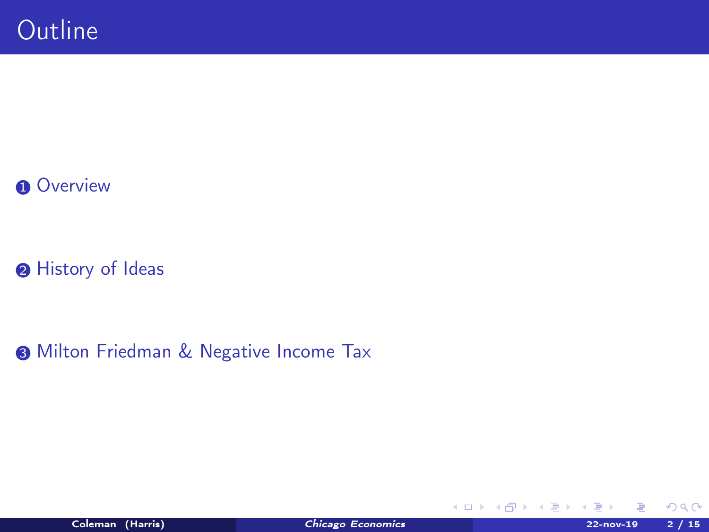### **O** [Overview](#page-2-0)

<sup>2</sup> [History of Ideas](#page-6-0)

**3 [Milton Friedman & Negative Income Tax](#page-11-0)** 

 $299$ 

**K ロ ▶ K 御 ▶ K 君 ▶ K 君**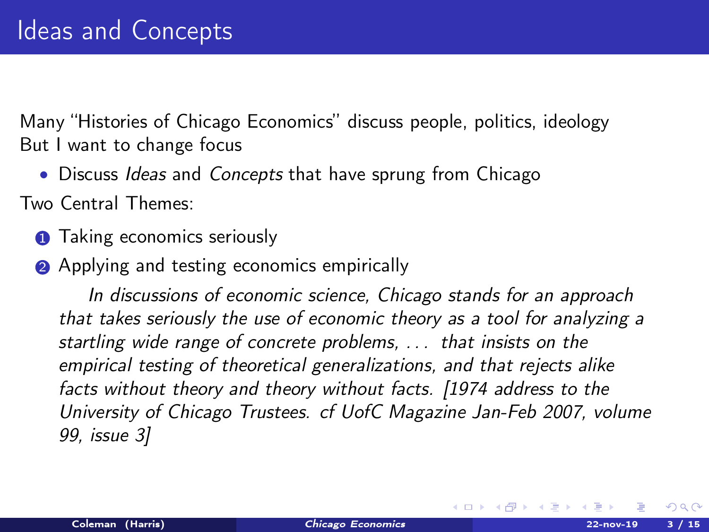<span id="page-2-0"></span>Many "Histories of Chicago Economics" discuss people, politics, ideology But I want to change focus

• Discuss Ideas and Concepts that have sprung from Chicago

Two Central Themes:

- **1** Taking economics seriously
- **2** Applying and testing economics empirically

In discussions of economic science, Chicago stands for an approach that takes seriously the use of economic theory as a tool for analyzing a startling wide range of concrete problems, . . . that insists on the empirical testing of theoretical generalizations, and that rejects alike facts without theory and theory without facts. [1974 address to the University of Chicago Trustees. cf UofC Magazine Jan-Feb 2007, volume 99, issue 3]

キロメ メ御き メモチ メモチ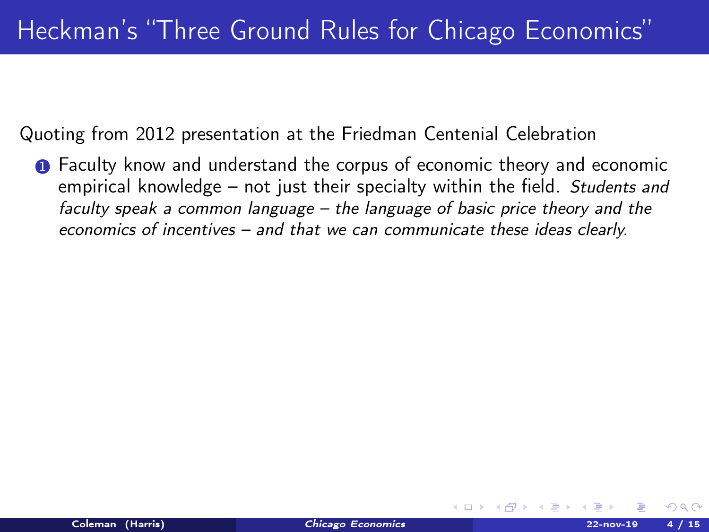Quoting from 2012 presentation at the Friedman Centenial Celebration

**1** Faculty know and understand the corpus of economic theory and economic empirical knowledge – not just their specialty within the field. Students and faculty speak a common language – the language of basic price theory and the economics of incentives – and that we can communicate these ideas clearly.

イロト イ押ト イヨト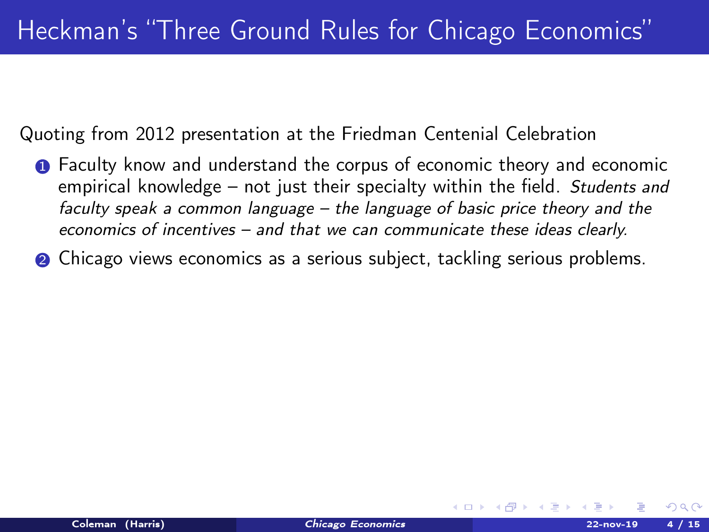Quoting from 2012 presentation at the Friedman Centenial Celebration

- **1** Faculty know and understand the corpus of economic theory and economic empirical knowledge – not just their specialty within the field. Students and faculty speak a common language – the language of basic price theory and the economics of incentives – and that we can communicate these ideas clearly.
- **2** Chicago views economics as a serious subject, tackling serious problems.

イロト イ押ト イヨト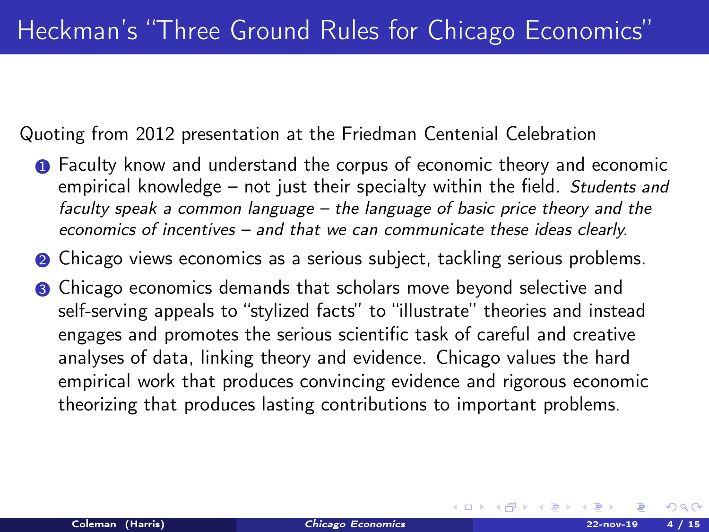Quoting from 2012 presentation at the Friedman Centenial Celebration

- **1** Faculty know and understand the corpus of economic theory and economic empirical knowledge – not just their specialty within the field. Students and faculty speak a common language – the language of basic price theory and the economics of incentives – and that we can communicate these ideas clearly.
- **2** Chicago views economics as a serious subject, tackling serious problems.
- <sup>3</sup> Chicago economics demands that scholars move beyond selective and self-serving appeals to "stylized facts" to "illustrate" theories and instead engages and promotes the serious scientific task of careful and creative analyses of data, linking theory and evidence. Chicago values the hard empirical work that produces convincing evidence and rigorous economic theorizing that produces lasting contributions to important problems.

**K ロ ト K 何 ト K ヨ ト K**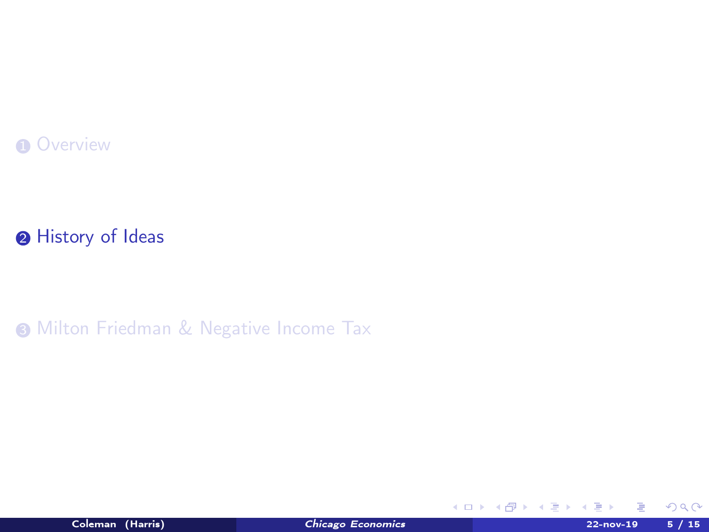#### <span id="page-6-0"></span>**O** [Overview](#page-2-0)

### <sup>2</sup> [History of Ideas](#page-6-0)

**3 [Milton Friedman & Negative Income Tax](#page-11-0)** 



E

 $299$ 

メロトメ部 トメミドメ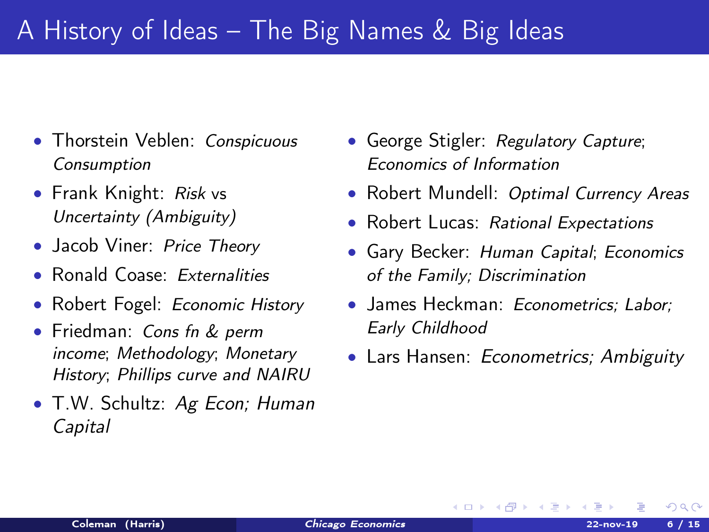# A History of Ideas – The Big Names & Big Ideas

- Thorstein Veblen: Conspicuous Consumption
- Frank Knight: Risk vs Uncertainty (Ambiguity)
- Jacob Viner: Price Theory
- Ronald Coase: Externalities
- Robert Fogel: Economic History
- Friedman: Cons fn & perm income; Methodology; Monetary History; Phillips curve and NAIRU
- T.W. Schultz: Ag Econ; Human Capital
- George Stigler: Regulatory Capture; Economics of Information
- Robert Mundell: Optimal Currency Areas
- Robert Lucas: Rational Expectations
- Gary Becker: Human Capital; Economics of the Family; Discrimination
- James Heckman: *Econometrics: Labor:* Early Childhood
- Lars Hansen: *Econometrics*; Ambiguity

**K ロ ▶ | K 御 ▶ | K 唐 ▶ |**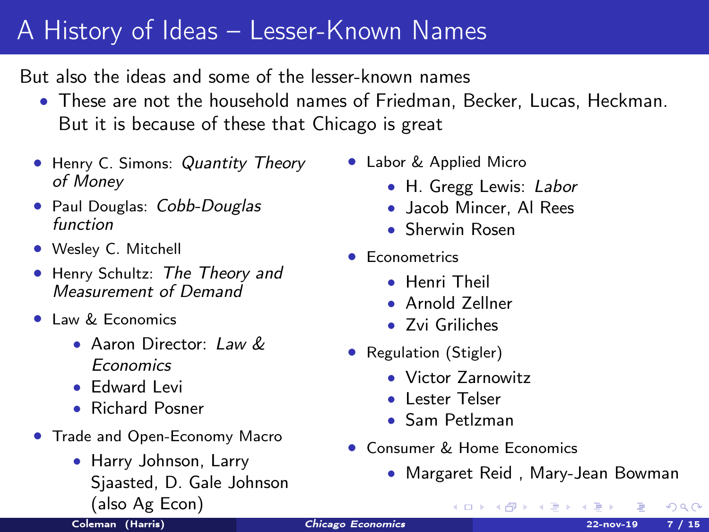# A History of Ideas – Lesser-Known Names

But also the ideas and some of the lesser-known names

- These are not the household names of Friedman, Becker, Lucas, Heckman. But it is because of these that Chicago is great
- Henry C. Simons: Quantity Theory of Money
- Paul Douglas: Cobb-Douglas function
- Wesley C. Mitchell
- Henry Schultz: The Theory and Measurement of Demand
- **Law & Economics** 
	- Aaron Director:  $I$  aw  $\&$ Economics
	- Edward Levi
	- Richard Posner
- Trade and Open-Economy Macro
	- Harry Johnson, Larry Sjaasted, D. Gale Johnson (also Ag Econ)
- Labor & Applied Micro
	- H. Gregg Lewis: Labor
	- Jacob Mincer, Al Rees
	- Sherwin Rosen
- Econometrics
	- Henri Theil
	- Arnold Zellner
	- Zvi Griliches
- Regulation (Stigler)
	- Victor Zarnowitz
	- Lester Telser
	- Sam Petlzman
- Consumer & Home Economics
	- Margaret Reid , Mary-Jean Bowman キロメ オ御き メモメ メモ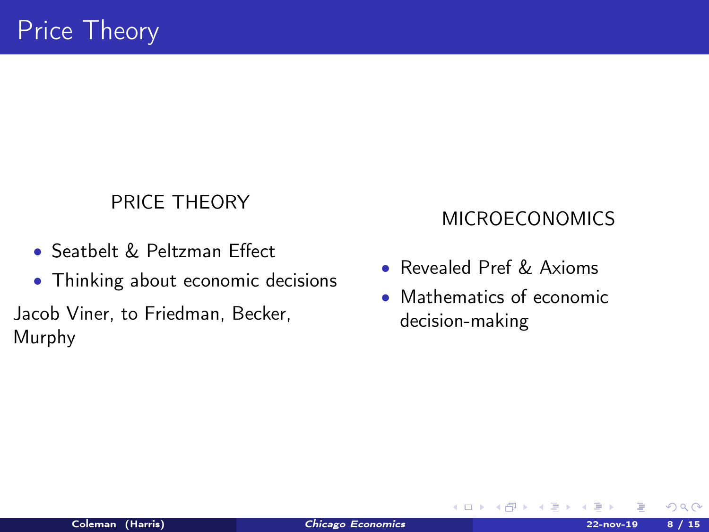### PRICE THEORY

- Seatbelt & Peltzman Effect
- Thinking about economic decisions

Jacob Viner, to Friedman, Becker, Murphy

### MICROECONOMICS

- Revealed Pref & Axioms
- Mathematics of economic decision-making

メロト メタト メミト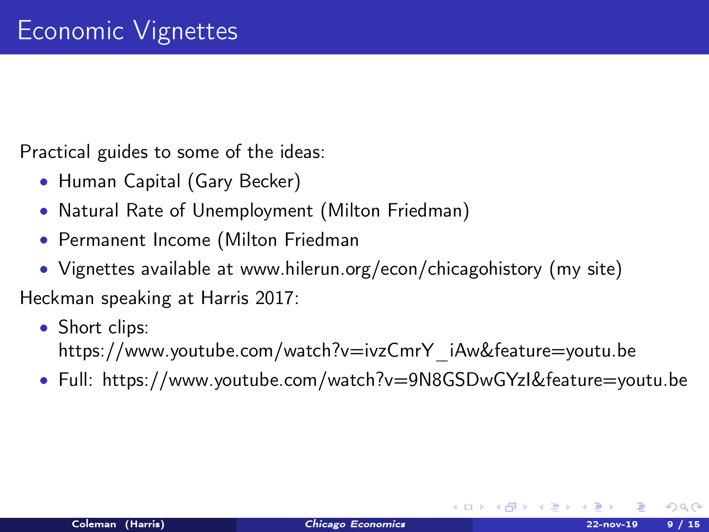Practical guides to some of the ideas:

- Human Capital (Gary Becker)
- Natural Rate of Unemployment (Milton Friedman)
- Permanent Income (Milton Friedman
- Vignettes available at www.hilerun.org/econ/chicagohistory (my site)

Heckman speaking at Harris 2017:

- Short clips: https://www.youtube.com/watch?v=ivzCmrY\_iAw&feature=youtu.be
- Full: https://www.youtube.com/watch?v=9N8GSDwGYzI&feature=youtu.be

 $\Omega$ 

キロメ メ御き メモチ メモチ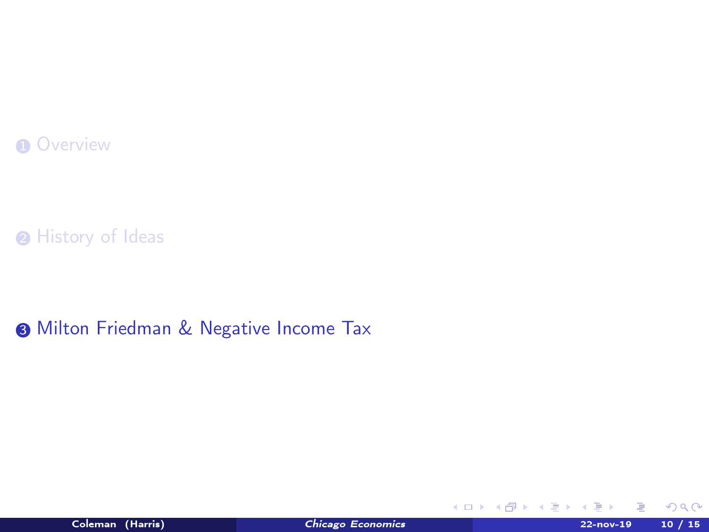#### <span id="page-11-0"></span>**O** [Overview](#page-2-0)

<sup>O</sup>[History of Ideas](#page-6-0)

**3 [Milton Friedman & Negative Income Tax](#page-11-0)** 



 $299$ 

**K ロ ト K 倒 ト K 差 ト K**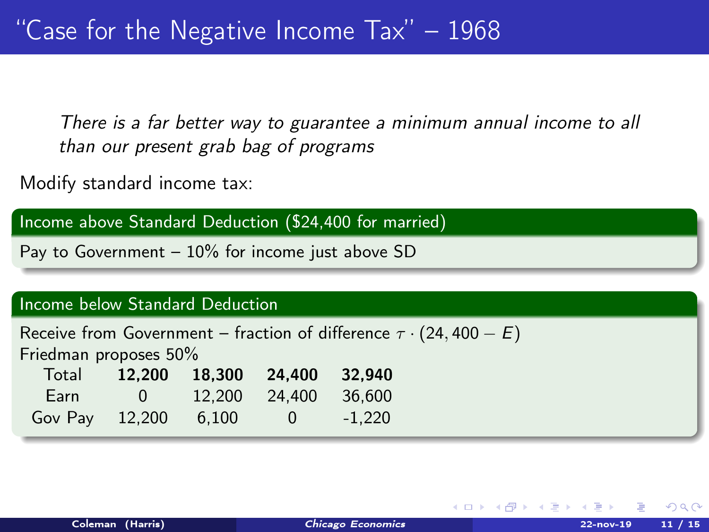There is a far better way to guarantee a minimum annual income to all than our present grab bag of programs

Modify standard income tax:

Income above Standard Deduction (\$24,400 for married)

Pay to Government  $-10\%$  for income just above SD

#### Income below Standard Deduction

| Receive from Government – fraction of difference $\tau \cdot (24, 400 - E)$ |          |               |                                   |          |  |  |  |
|-----------------------------------------------------------------------------|----------|---------------|-----------------------------------|----------|--|--|--|
| Friedman proposes 50%                                                       |          |               |                                   |          |  |  |  |
|                                                                             |          |               | Total 12.200 18.300 24.400 32.940 |          |  |  |  |
| Earn                                                                        | $\sim$ 0 | 12.200 24.400 |                                   | 36.600   |  |  |  |
| Gov Pay $12,200$ 6.100                                                      |          |               | $\sim$ 0                          | $-1.220$ |  |  |  |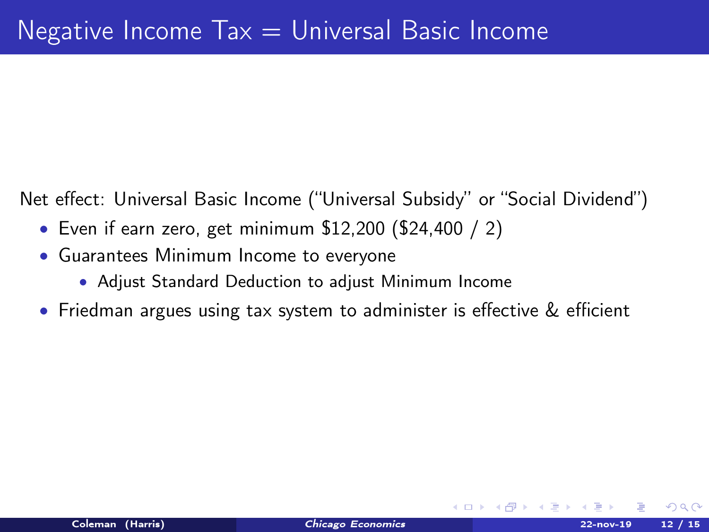Net effect: Universal Basic Income ("Universal Subsidy" or "Social Dividend")

- Even if earn zero, get minimum \$12,200 (\$24,400 / 2)
- Guarantees Minimum Income to everyone
	- Adjust Standard Deduction to adjust Minimum Income
- Friedman argues using tax system to administer is effective & efficient

 $\Omega$ 

**K ロ ▶ | K 何 ▶ | K ヨ ▶ |**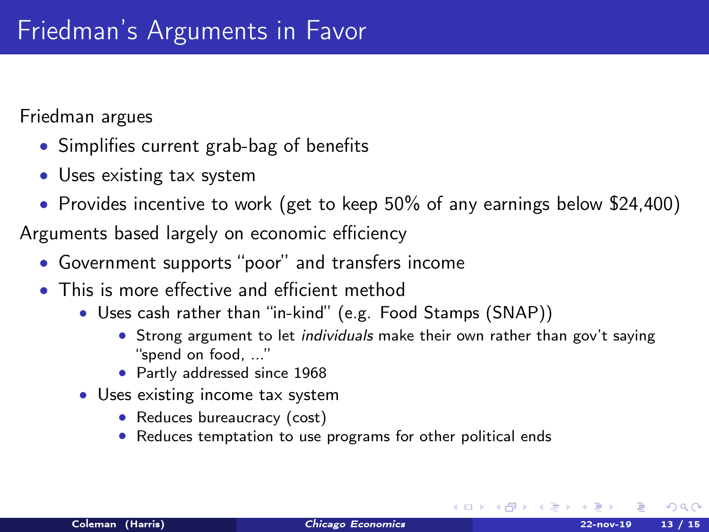Friedman argues

- Simplifies current grab-bag of benefits
- Uses existing tax system
- Provides incentive to work (get to keep 50% of any earnings below \$24,400)

Arguments based largely on economic efficiency

- Government supports "poor" and transfers income
- This is more effective and efficient method
	- Uses cash rather than "in-kind" (e.g. Food Stamps (SNAP))
		- Strong argument to let individuals make their own rather than gov't saying "spend on food, ..."
		- Partly addressed since 1968
	- Uses existing income tax system
		- Reduces bureaucracy (cost)
		- Reduces temptation to use programs for other political ends

 $\Omega$ 

メロト メ都 トメ ミトメ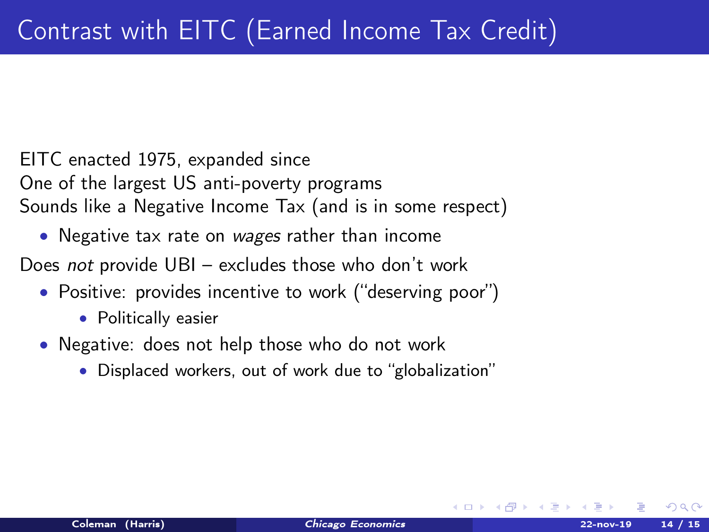EITC enacted 1975, expanded since One of the largest US anti-poverty programs Sounds like a Negative Income Tax (and is in some respect)

• Negative tax rate on wages rather than income

Does not provide UBI – excludes those who don't work

- Positive: provides incentive to work ("deserving poor")
	- Politically easier
- Negative: does not help those who do not work
	- Displaced workers, out of work due to "globalization"

 $\Omega$ 

**K ロ ト K 何 ト K ヨ ト**